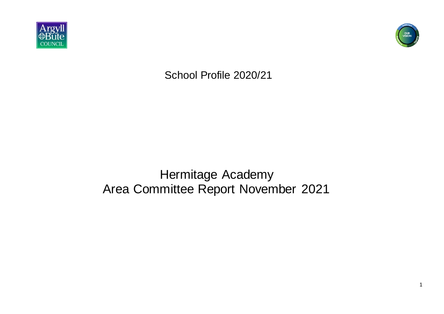



School Profile 2020/21

Hermitage Academy Area Committee Report November 2021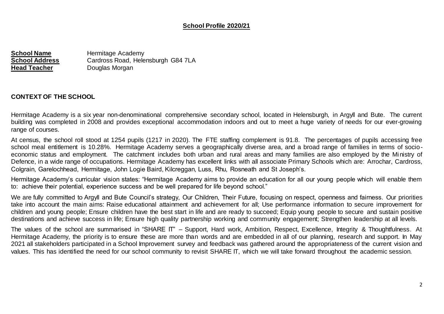## **School Profile 2020/21**

**School Name** Hermitage Academy **School Address** Cardross Road, Helensburgh G84 7LA **Head Teacher** Douglas Morgan

#### **CONTEXT OF THE SCHOOL**

Hermitage Academy is a six year non-denominational comprehensive secondary school, located in Helensburgh, in Argyll and Bute. The current building was completed in 2008 and provides exceptional accommodation indoors and out to meet a huge variety of needs for our ever-growing range of courses.

At census, the school roll stood at 1254 pupils (1217 in 2020). The FTE staffing complement is 91.8. The percentages of pupils accessing free school meal entitlement is 10.28%. Hermitage Academy serves a geographically diverse area, and a broad range of families in terms of socioeconomic status and employment. The catchment includes both urban and rural areas and many families are also employed by the Ministry of Defence, in a wide range of occupations. Hermitage Academy has excellent links with all associate Primary Schools which are: Arrochar, Cardross, Colgrain, Garelochhead, Hermitage, John Logie Baird, Kilcreggan, Luss, Rhu, Rosneath and St Joseph's.

Hermitage Academy's curricular vision states: "Hermitage Academy aims to provide an education for all our young people which will enable them to: achieve their potential, experience success and be well prepared for life beyond school."

We are fully committed to Argyll and Bute Council's strategy, Our Children, Their Future, focusing on respect, openness and fairness. Our priorities take into account the main aims: Raise educational attainment and achievement for all; Use performance information to secure improvement for children and young people; Ensure children have the best start in life and are ready to succeed; Equip young people to secure and sustain positive destinations and achieve success in life; Ensure high quality partnership working and community engagement; Strengthen leadership at all levels.

The values of the school are summarised in "SHARE IT" – Support, Hard work, Ambition, Respect, Excellence, Integrity & Thoughtfulness. At Hermitage Academy, the priority is to ensure these are more than words and are embedded in all of our planning, research and support. In May 2021 all stakeholders participated in a School Improvement survey and feedback was gathered around the appropriateness of the current vision and values. This has identified the need for our school community to revisit SHARE IT, which we will take forward throughout the academic session.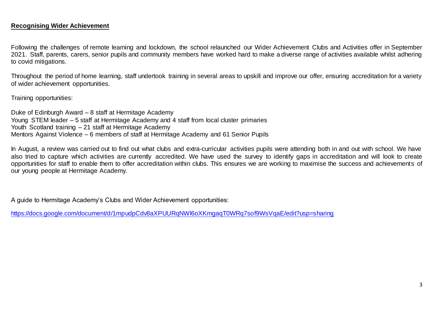#### **Recognising Wider Achievement**

Following the challenges of remote learning and lockdown, the school relaunched our Wider Achievement Clubs and Activities offer in September 2021. Staff, parents, carers, senior pupils and community members have worked hard to make a diverse range of activities available whilst adhering to covid mitigations.

Throughout the period of home learning, staff undertook training in several areas to upskill and improve our offer, ensuring accreditation for a variety of wider achievement opportunities.

Training opportunities:

Duke of Edinburgh Award – 8 staff at Hermitage Academy Young STEM leader – 5 staff at Hermitage Academy and 4 staff from local cluster primaries Youth Scotland training - 21 staff at Hermitage Academy Mentors Against Violence – 6 members of staff at Hermitage Academy and 61 Senior Pupils

In August, a review was carried out to find out what clubs and extra-curricular activities pupils were attending both in and out with school. We have also tried to capture which activities are currently accredited. We have used the survey to identify gaps in accreditation and will look to create opportunities for staff to enable them to offer accreditation within clubs. This ensures we are working to maximise the success and achievements of our young people at Hermitage Academy.

A guide to Hermitage Academy's Clubs and Wider Achievement opportunities:

<https://docs.google.com/document/d/1mpudpCdv8aXPUURqNWl6oXKmgaqT0WRq7sof9WsVqaE/edit?usp=sharing>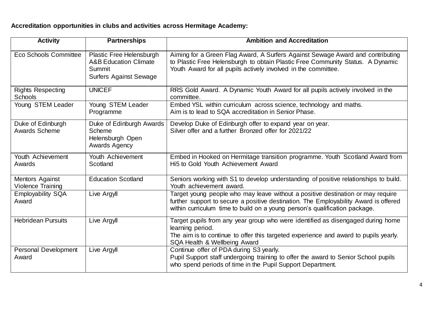**Accreditation opportunities in clubs and activities across Hermitage Academy:** 

| <b>Activity</b>                             | <b>Partnerships</b>                                                                                     | <b>Ambition and Accreditation</b>                                                                                                                                                                                                                     |
|---------------------------------------------|---------------------------------------------------------------------------------------------------------|-------------------------------------------------------------------------------------------------------------------------------------------------------------------------------------------------------------------------------------------------------|
| Eco Schools Committee                       | Plastic Free Helensburgh<br><b>A&amp;B Education Climate</b><br>Summit<br><b>Surfers Against Sewage</b> | Aiming for a Green Flag Award, A Surfers Against Sewage Award and contributing<br>to Plastic Free Helensburgh to obtain Plastic Free Community Status. A Dynamic<br>Youth Award for all pupils actively involved in the committee.                    |
| <b>Rights Respecting</b><br><b>Schools</b>  | <b>UNICEF</b>                                                                                           | RRS Gold Award. A Dynamic Youth Award for all pupils actively involved in the<br>committee.                                                                                                                                                           |
| Young STEM Leader                           | Young STEM Leader<br>Programme                                                                          | Embed YSL within curriculum across science, technology and maths.<br>Aim is to lead to SQA accreditation in Senior Phase.                                                                                                                             |
| Duke of Edinburgh<br><b>Awards Scheme</b>   | Duke of Edinburgh Awards<br><b>Scheme</b><br>Helensburgh Open<br><b>Awards Agency</b>                   | Develop Duke of Edinburgh offer to expand year on year.<br>Silver offer and a further Bronzed offer for 2021/22                                                                                                                                       |
| Youth Achievement<br>Awards                 | Youth Achievement<br>Scotland                                                                           | Embed in Hooked on Hermitage transition programme. Youth Scotland Award from<br>Hi5 to Gold Youth Achievement Award                                                                                                                                   |
| Mentors Against<br><b>Violence Training</b> | <b>Education Scotland</b>                                                                               | Seniors working with S1 to develop understanding of positive relationships to build.<br>Youth achievement award.                                                                                                                                      |
| <b>Employability SQA</b><br>Award           | Live Argyll                                                                                             | Target young people who may leave without a positive destination or may require<br>further support to secure a positive destination. The Employability Award is offered<br>within curriculum time to build on a young person's qualification package. |
| <b>Hebridean Pursuits</b>                   | Live Argyll                                                                                             | Target pupils from any year group who were identified as disengaged during home<br>learning period.<br>The aim is to continue to offer this targeted experience and award to pupils yearly.<br>SQA Health & Wellbeing Award                           |
| <b>Personal Development</b><br>Award        | Live Argyll                                                                                             | Continue offer of PDA during S3 yearly.<br>Pupil Support staff undergoing training to offer the award to Senior School pupils<br>who spend periods of time in the Pupil Support Department.                                                           |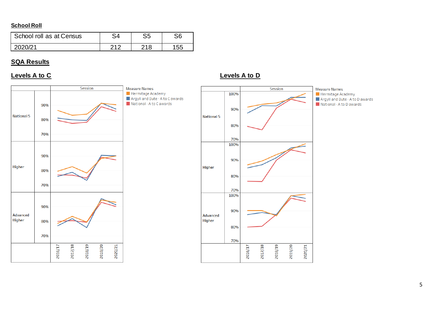## **School Roll**

| School roll as at Census | 94  | S <sub>5</sub> | CG. |
|--------------------------|-----|----------------|-----|
| 2020/21                  | 240 | 218            | 55  |

## **SQA Results**



## **Levels A to C Levels A to D**

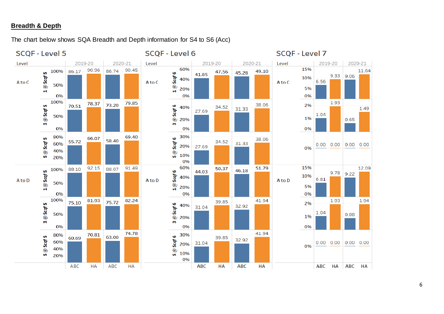## **Breadth & Depth**

The chart below shows SQA Breadth and Depth information for S4 to S6 (Acc)

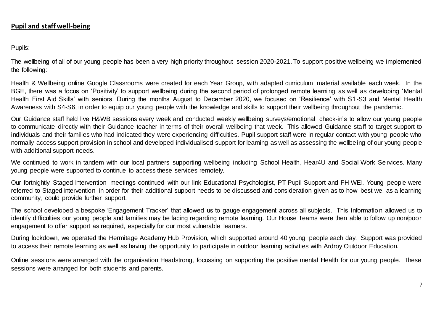## **Pupil and staff well-being**

Pupils:

The wellbeing of all of our young people has been a very high priority throughout session 2020-2021. To support positive wellbeing we implemented the following:

Health & Wellbeing online Google Classrooms were created for each Year Group, with adapted curriculum material available each week. In the BGE, there was a focus on 'Positivity' to support wellbeing during the second period of prolonged remote learni ng as well as developing 'Mental Health First Aid Skills' with seniors. During the months August to December 2020, we focused on 'Resilience' with S1-S3 and Mental Health Awareness with S4-S6, in order to equip our young people with the knowledge and skills to support their wellbeing throughout the pandemic.

Our Guidance staff held live H&WB sessions every week and conducted weekly wellbeing surveys/emotional check-in's to allow our young people to communicate directly with their Guidance teacher in terms of their overall wellbeing that week. This allowed Guidance staff to target support to individuals and their families who had indicated they were experiencing difficulties. Pupil support staff were in regular contact with young people who normally access support provision in school and developed individualised support for learning as well as assessing the wellbeing of our young people with additional support needs.

We continued to work in tandem with our local partners supporting wellbeing including School Health, Hear4U and Social Work Services. Many young people were supported to continue to access these services remotely.

Our fortnightly Staged Intervention meetings continued with our link Educational Psychologist, PT Pupil Support and FH WEI. Young people were referred to Staged Intervention in order for their additional support needs to be discussed and consideration given as to how best we, as a learning community, could provide further support.

The school developed a bespoke 'Engagement Tracker' that allowed us to gauge engagement across all subjects. This informatio n allowed us to identify difficulties our young people and families may be facing regarding remote learning. Our House Teams were then able to follow up non/poor engagement to offer support as required, especially for our most vulnerable learners.

During lockdown, we operated the Hermitage Academy Hub Provision, which supported around 40 young people each day. Support was provided to access their remote learning as well as having the opportunity to participate in outdoor learning activities with Ardroy Outdoor Education.

Online sessions were arranged with the organisation Headstrong, focussing on supporting the positive mental Health for our young people. These sessions were arranged for both students and parents.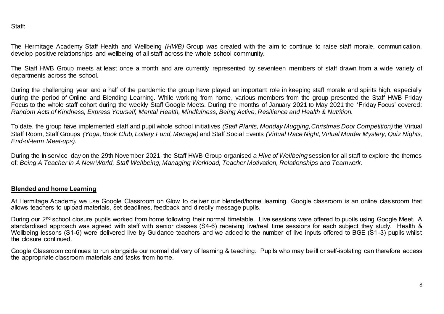Staff:

The Hermitage Academy Staff Health and Wellbeing *(HWB)* Group was created with the aim to continue to raise staff morale, communication, develop positive relationships and wellbeing of all staff across the whole school community.

The Staff HWB Group meets at least once a month and are currently represented by seventeen members of staff drawn from a wide variety of departments across the school.

During the challenging year and a half of the pandemic the group have played an important role in keeping staff morale and spirits high, especially during the period of Online and Blending Learning. While working from home, various members from the group presented the Staff HWB Friday Focus to the whole staff cohort during the weekly Staff Google Meets. During the months of January 2021 to May 2021 the 'Friday Focus' covered: *Random Acts of Kindness, Express Yourself, Mental Health, Mindfulness, Being Active, Resilience and Health & Nutrition.*

To date, the group have implemented staff and pupil whole school initiatives *(Staff Plants, Monday Mugging, Christmas Door Competition)* the Virtual Staff Room, Staff Groups *(Yoga, Book Club, Lottery Fund, Menage)* and Staff Social Events *(Virtual Race Night, Virtual Murder Mystery, Quiz Nights, End-of-term Meet-ups).*

During the In-service day on the 29th November 2021, the Staff HWB Group organised *a Hive of Wellbeing* session for all staff to explore the themes of: *Being A Teacher In A New World, Staff Wellbeing, Managing Workload, Teacher Motivation, Relationships and Teamwork.*

### **Blended and home Learning**

At Hermitage Academy we use Google Classroom on Glow to deliver our blended/home learning. Google classroom is an online clas sroom that allows teachers to upload materials, set deadlines, feedback and directly message pupils.

During our 2<sup>nd</sup> school closure pupils worked from home following their normal timetable. Live sessions were offered to pupils using Google Meet. A standardised approach was agreed with staff with senior classes (S4-6) receiving live/real time sessions for each subject they study. Health & Wellbeing lessons (S1-6) were delivered live by Guidance teachers and we added to the number of live inputs offered to BGE (S1-3) pupils whilst the closure continued.

Google Classroom continues to run alongside our normal delivery of learning & teaching. Pupils who may be ill or self-isolating can therefore access the appropriate classroom materials and tasks from home.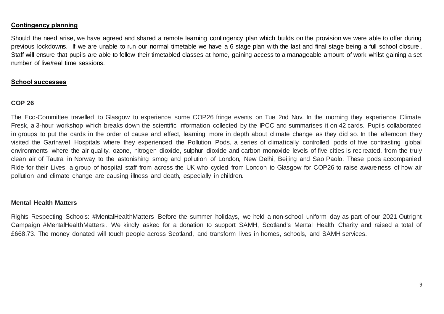#### **Contingency planning**

Should the need arise, we have agreed and shared a remote learning contingency plan which builds on the provision we were able to offer during previous lockdowns. If we are unable to run our normal timetable we have a 6 stage plan with the last and final stage being a full school closure . Staff will ensure that pupils are able to follow their timetabled classes at home, gaining access to a manageable amount of work whilst gaining a set number of live/real time sessions.

#### **School successes**

#### **COP 26**

The Eco-Committee travelled to Glasgow to experience some COP26 fringe events on Tue 2nd Nov. In the morning they experience Climate Fresk, a 3-hour workshop which breaks down the scientific information collected by the IPCC and summarises it on 42 cards. Pupils collaborated in groups to put the cards in the order of cause and effect, learning more in depth about climate change as they did so. In the afternoon they visited the Gartnavel Hospitals where they experienced the Pollution Pods, a series of climatically controlled pods of five contrasting global environments where the air quality, ozone, nitrogen dioxide, sulphur dioxide and carbon monoxide levels of five cities is rec reated, from the truly clean air of Tautra in Norway to the astonishing smog and pollution of London, New Delhi, Beijing and Sao Paolo. These pods accompanied Ride for their Lives, a group of hospital staff from across the UK who cycled from London to Glasgow for COP26 to raise aware ness of how air pollution and climate change are causing illness and death, especially in children.

#### **Mental Health Matters**

Rights Respecting Schools: #MentalHealthMatters Before the summer holidays, we held a non-school uniform day as part of our 2021 Outright Campaign #MentalHealthMatters. We kindly asked for a donation to support SAMH, Scotland's Mental Health Charity and raised a total of £668.73. The money donated will touch people across Scotland, and transform lives in homes, schools, and SAMH services.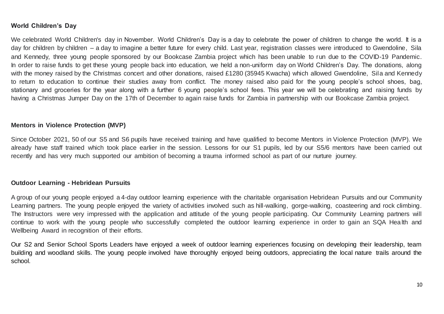## **World Children's Day**

We celebrated World Children's day in November. World Children's Day is a day to celebrate the power of children to change the world. It is a day for children by children – a day to imagine a better future for every child. Last year, registration classes were introduced to Gwendoline, Sila and Kennedy, three young people sponsored by our Bookcase Zambia project which has been unable to run due to the COVID-19 Pandemic. In order to raise funds to get these young people back into education, we held a non-uniform day on World Children's Day. The donations, along with the money raised by the Christmas concert and other donations, raised £1280 (35945 Kwacha) which allowed Gwendoline, Sila and Kennedy to return to education to continue their studies away from conflict. The money raised also paid for the young people's school shoes, bag, stationary and groceries for the year along with a further 6 young people's school fees. This year we will be celebrating and raising funds by having a Christmas Jumper Day on the 17th of December to again raise funds for Zambia in partnership with our Bookcase Zambia project.

#### **Mentors in Violence Protection (MVP)**

Since October 2021, 50 of our S5 and S6 pupils have received training and have qualified to become Mentors in Violence Protection (MVP). We already have staff trained which took place earlier in the session. Lessons for our S1 pupils, led by our S5/6 mentors have been carried out recently and has very much supported our ambition of becoming a trauma informed school as part of our nurture journey.

#### **Outdoor Learning - Hebridean Pursuits**

A group of our young people enjoyed a 4-day outdoor learning experience with the charitable organisation Hebridean Pursuits and our Community Learning partners. The young people enjoyed the variety of activities involved such as hill-walking, gorge-walking, coasteering and rock climbing. The Instructors were very impressed with the application and attitude of the young people participating. Our Community Learning partners will continue to work with the young people who successfully completed the outdoor learning experience in order to gain an SQA Hea lth and Wellbeing Award in recognition of their efforts.

Our S2 and Senior School Sports Leaders have enjoyed a week of outdoor learning experiences focusing on developing their leadership, team building and woodland skills. The young people involved have thoroughly enjoyed being outdoors, appreciating the local nature trails around the school.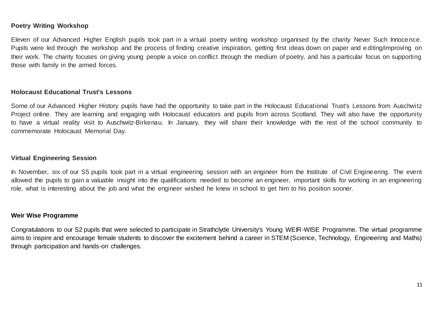#### **Poetry Writing Workshop**

Eleven of our Advanced Higher English pupils took part in a virtual poetry writing workshop organised by the charity Never Such Innocence. Pupils were led through the workshop and the process of finding creative inspiration, getting first ideas down on paper and e diting/improving on their work. The charity focuses on giving young people a voice on conflict through the medium of poetry, and has a particular focus on supporting those with family in the armed forces.

#### **Holocaust Educational Trust's Lessons**

Some of our Advanced Higher History pupils have had the opportunity to take part in the Holocaust Educational Trust's Lessons from Auschwitz Project online. They are learning and engaging with Holocaust educators and pupils from across Scotland. They will also have the opportunity to have a virtual reality visit to Auschwitz-Birkenau. In January, they will share their knowledge with the rest of the school community to commemorate Holocaust Memorial Day.

#### **Virtual Engineering Session**

In November, six of our S5 pupils took part in a virtual engineering session with an engineer from the Institute of Civil Engine ering. The event allowed the pupils to gain a valuable insight into the qualifications needed to become an engineer, important skills for working in an engineering role, what is interesting about the job and what the engineer wished he knew in school to get him to his position sooner.

#### **Weir Wise Programme**

Congratulations to our S2 pupils that were selected to participate in Strathclyde University's Young WEIR-WISE Programme. The virtual programme aims to inspire and encourage female students to discover the excitement behind a career in STEM (Science, Technology, Engineering and Maths) through participation and hands-on challenges.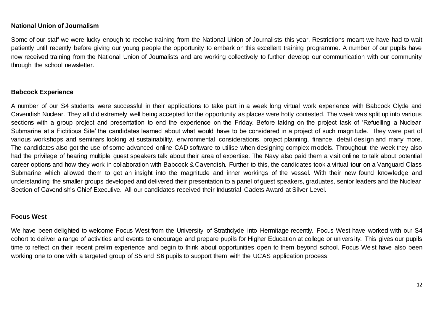### **National Union of Journalism**

Some of our staff we were lucky enough to receive training from the National Union of Journalists this year. Restrictions meant we have had to wait patiently until recently before giving our young people the opportunity to embark on this excellent training programme. A number of our pupils have now received training from the National Union of Journalists and are working collectively to further develop our communication with our community through the school newsletter.

## **Babcock Experience**

A number of our S4 students were successful in their applications to take part in a week long virtual work experience with Babcock Clyde and Cavendish Nuclear. They all did extremely well being accepted for the opportunity as places were hotly contested. The week was split up into various sections with a group project and presentation to end the experience on the Friday. Before taking on the project task of 'Refuelling a Nuclear Submarine at a Fictitious Site' the candidates learned about what would have to be considered in a project of such magnitude. They were part of various workshops and seminars looking at sustainability, environmental considerations, project planning, finance, detail des ign and many more. The candidates also got the use of some advanced online CAD software to utilise when designing complex models. Throughout the week they also had the privilege of hearing multiple guest speakers talk about their area of expertise. The Navy also paid them a visit onli ne to talk about potential career options and how they work in collaboration with Babcock & Cavendish. Further to this, the candidates took a virtual tour on a Vanguard Class Submarine which allowed them to get an insight into the magnitude and inner workings of the vessel. With their new found knowledge and understanding the smaller groups developed and delivered their presentation to a panel of guest speakers, graduates, senior leaders and the Nuclear Section of Cavendish's Chief Executive. All our candidates received their Industrial Cadets Award at Silver Level.

#### **Focus West**

We have been delighted to welcome Focus West from the University of Strathclyde into Hermitage recently. Focus West have worked with our S4 cohort to deliver a range of activities and events to encourage and prepare pupils for Higher Education at college or univers ity. This gives our pupils time to reflect on their recent prelim experience and begin to think about opportunities open to them beyond school. Focus We st have also been working one to one with a targeted group of S5 and S6 pupils to support them with the UCAS application process.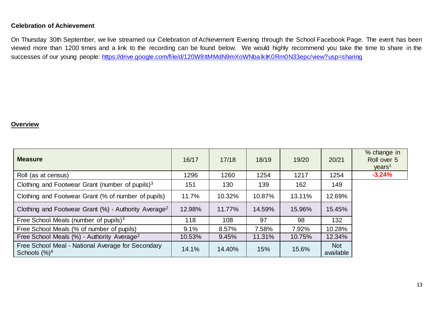## **Celebration of Achievement**

On Thursday 30th September, we live streamed our Celebration of Achievement Evening through the School Facebook Page. The event has been viewed more than 1200 times and a link to the recording can be found below. We would highly recommend you take the time to share in the successes of our young people: <https://drive.google.com/file/d/120W8ItMMdN9mXoWNbaIkIK0Rm0N33epc/view?usp=sharing>

#### **Overview**

| <b>Measure</b>                                                                 | 16/17  | 17/18  | 18/19  | 19/20  | 20/21                   | % change in<br>Roll over 5<br>years <sup>1</sup> |
|--------------------------------------------------------------------------------|--------|--------|--------|--------|-------------------------|--------------------------------------------------|
| Roll (as at census)                                                            | 1296   | 1260   | 1254   | 1217   | 1254                    | $-3.24%$                                         |
| Clothing and Footwear Grant (number of pupils) $3$                             | 151    | 130    | 139    | 162    | 149                     |                                                  |
| Clothing and Footwear Grant (% of number of pupils)                            | 11.7%  | 10.32% | 10.87% | 13.11% | 12.69%                  |                                                  |
| Clothing and Footwear Grant (%) - Authority Average <sup>2</sup>               | 12.98% | 11.77% | 14.59% | 15.96% | 15.45%                  |                                                  |
| Free School Meals (number of pupils) <sup>3</sup>                              | 118    | 108    | 97     | 98     | 132                     |                                                  |
| Free School Meals (% of number of pupils)                                      | 9.1%   | 8.57%  | 7.58%  | 7.92%  | 10.28%                  |                                                  |
| Free School Meals (%) - Authority Average <sup>2</sup>                         | 10.53% | 9.45%  | 11.31% | 10.75% | 12.34%                  |                                                  |
| Free School Meal - National Average for Secondary<br>Schools $(\frac{9}{6})^4$ | 14.1%  | 14.40% | 15%    | 15.6%  | <b>Not</b><br>available |                                                  |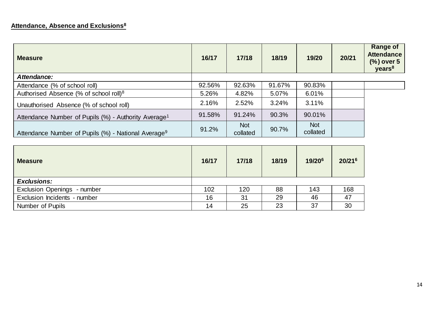# **Attendance, Absence and Exclusions<sup>8</sup>**

| <b>Measure</b>                                                   | 16/17  | 17/18                  | 18/19  | 19/20                  | 20/21 | <b>Range of</b><br><b>Attendance</b><br>(%) over 5<br>years <sup>8</sup> |
|------------------------------------------------------------------|--------|------------------------|--------|------------------------|-------|--------------------------------------------------------------------------|
| Attendance:                                                      |        |                        |        |                        |       |                                                                          |
| Attendance (% of school roll)                                    | 92.56% | 92.63%                 | 91.67% | 90.83%                 |       |                                                                          |
| Authorised Absence (% of school roll) <sup>8</sup>               | 5.26%  | 4.82%                  | 5.07%  | 6.01%                  |       |                                                                          |
| Unauthorised Absence (% of school roll)                          | 2.16%  | 2.52%                  | 3.24%  | 3.11%                  |       |                                                                          |
| Attendance Number of Pupils (%) - Authority Average <sup>1</sup> | 91.58% | 91.24%                 | 90.3%  | 90.01%                 |       |                                                                          |
| Attendance Number of Pupils (%) - National Average <sup>9</sup>  | 91.2%  | <b>Not</b><br>collated | 90.7%  | <b>Not</b><br>collated |       |                                                                          |

| <b>Measure</b>               | 16/17 | 17/18 | 18/19 | 19/206 | 20/216 |
|------------------------------|-------|-------|-------|--------|--------|
| <b>Exclusions:</b>           |       |       |       |        |        |
| Exclusion Openings - number  | 102   | 120   | 88    | 143    | 168    |
| Exclusion Incidents - number | 16    | 31    | 29    | 46     | 47     |
| Number of Pupils             | 14    | 25    | 23    | 37     | 30     |